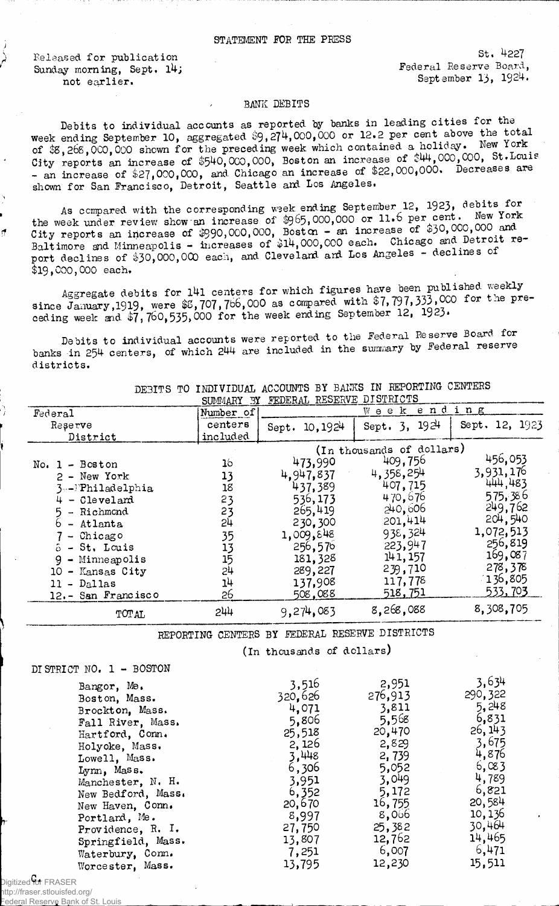## STATEMENT FOR THE PRESS

Released for publication Sunday morning, Sept.  $14$ ; not earlier.

St. 422? Federal Reserve Board, September 13, 1924.

## BANK DEBITS

Debits to individual accounts as reported by banks in leading cities for the week ending September 10, aggregated \$9,274,000,000 or 12.2 per cent above the total of  $$8,268,000,000$  shown for the preceding week which contained a holiday. New york City reports an increase of \$540,000,000, Boston an increase of \$44,000,000, St.Louis - an increase of \$27,000,000, and Chicago an increase of \$22,000,000. Decreases are shown for San Francisco, Detroit, Seattle and Los Angeles.

As compared with the corresponding week ending September 12, 1923, debits for the week under review show an increase of \$965,000,000 or 11.6 per cent. New York City reports an increase of  $$990,000,000$ , Boston - an increase of  $$39,000$ ,  $Balt$ imore and Minneapolis - increases of  $$14,000,000$  each. Chicago and port declines of \$30,000,000 each, and Cleveland and Los Angeles - declines of \$19,000,000 each.

Aggregate debits for 141 centers for which figures have been published weekly since **January,1919,** were **\$**8**,** 707**,** 766,000 as compared witn **f** 7**,797,333 , 000** for t.ie pre ceding week and  $\frac{1}{47}$ , 760, 535, 000 for the week ending September 12, 1923.

Debits to individual accounts were reported to the Federal Reserve Board for banks in 254 centers, of which 244 are included in the summary by Federal reserve districts.

|                     | <b>SUMMARY</b><br>- 3Y | FEDERAL RESERVE DISTRICTS |                           |                |
|---------------------|------------------------|---------------------------|---------------------------|----------------|
| Federal             | Number of              |                           | ending<br>$W$ e e $K$     |                |
| Reserve             | centers                | Sept. $10,1924$           | Sept. $3, 1924$           | Sept. 12, 1923 |
| District            | included               |                           |                           |                |
|                     |                        |                           | (In thousands of dollars) |                |
| $No. 1 - Boston$    | 16                     | 473,990                   | 409,756                   | 456,053        |
| $2 - New York$      | 13                     | 4.947.837                 | 4,358,254                 | 3,931,176      |
| 3--Philadelphia     | 18                     | 437.389                   | 407,715                   | 444,483        |
| - Cleveland         | 23                     | 536,173                   | 470.676                   | 575,386        |
| - Richmond          | 23                     | 265,419                   | 240,606                   | 249,762        |
| - Atlanta           | 2 <sup>1</sup>         | 230.300                   | 201,414                   | 204,540        |
| - Chicago           | 35                     | 1,009,848                 | 938,324                   | 1,072,513      |
| - St. Louis         | 13                     | 256,576                   | 223,947                   | 256,819        |
| - Minneapolis       | 15                     | 181, 328                  | 141, 157                  | 169,087        |
| - Kansas City<br>10 | 24                     | 289,227                   | 239,710                   | 278,378        |
| - Dallas<br>11      | 14                     | 137,908                   | 117,778                   | 136,805        |
| 12.- San Francisco  | 26                     | 508,088                   | 518,751                   | 533,703        |
| <b>TOTAL</b>        | 244                    | 9,274,083                 | 8.268,088                 | 8,308,705      |

DEBITS TO INDIVIDUAL ACCOUNTS BY BANKS IN REPORTING CENTERS

REPORTING CENTERS BY FEDERAL RESERVE DISTRICTS

(in thousands of dollars)

DISTRICT NO.  $1 -$  BOSTON

| Bangor, Me.        | 3,516   | 2,951   | 3,634    |
|--------------------|---------|---------|----------|
| Boston, Mass.      | 320.626 | 276,913 | 290, 322 |
| Brockton, Mass.    | 4.071   | 3,811   | 5,248    |
| Fall River, Mass.  | 5,806   | 5,568   | 6,831    |
| Hartford, Conn.    | 25,518  | 20,470  | 26, 143  |
| Holyoke, Mass.     | 2,126   | 2,829   | 3,675    |
| Lowell, Mass.      | 3,448   | 2,739   | 4,876    |
| Lynn, Mass.        | 6,306   | 5,052   | 6,083    |
| Manchester, N. H.  | 3,951   | 3,049   | 4,789    |
| New Bedford, Mass. | 6,352   | 5,172   | 6,821    |
| New Haven, Conn.   | 20,670  | 16,755  | 20,584   |
| Portland, Me.      | 8,997   | 8,066   | 10,136   |
| Providence, R. I.  | 27,750  | 25,382  | 30,464   |
| Springfield, Mass. | 13,807  | 12,762  | 14,465   |
| Waterbury, Com.    | 7,251   | 6,007   | 6,471    |
| Worcester, Mass.   | 13,795  | 12,230  | 15,511   |
|                    |         |         |          |

Digitized for FRASER http://fraser.stlouisfed.org/

Federal Reserve Bank of St. Louis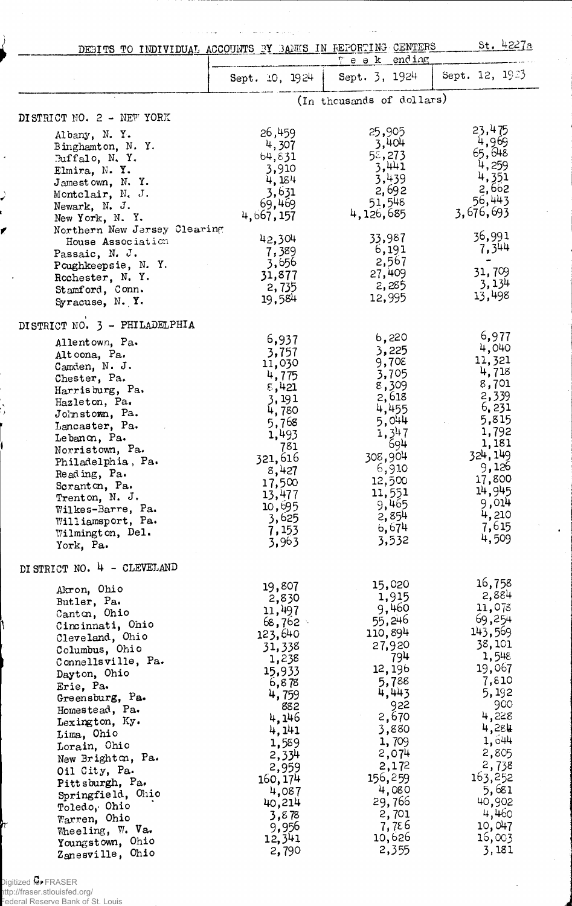| DEBITS TO INDIVIDUAL ACCOUNTS BY BANKS IN REPORTING CENTERS                                                                                                                                                                                                                                                                                                                                                                                          |                                                                                                                                                                                                                       | Teek ending                                                                                                                                                                                                        | st. 4227a                                                                                                                                                                                                             |
|------------------------------------------------------------------------------------------------------------------------------------------------------------------------------------------------------------------------------------------------------------------------------------------------------------------------------------------------------------------------------------------------------------------------------------------------------|-----------------------------------------------------------------------------------------------------------------------------------------------------------------------------------------------------------------------|--------------------------------------------------------------------------------------------------------------------------------------------------------------------------------------------------------------------|-----------------------------------------------------------------------------------------------------------------------------------------------------------------------------------------------------------------------|
|                                                                                                                                                                                                                                                                                                                                                                                                                                                      | Sept. $10, 1924$                                                                                                                                                                                                      | Sept. 3, 1924                                                                                                                                                                                                      | Sept. 12, 1923                                                                                                                                                                                                        |
|                                                                                                                                                                                                                                                                                                                                                                                                                                                      |                                                                                                                                                                                                                       | (In thousands of dollars)                                                                                                                                                                                          |                                                                                                                                                                                                                       |
| DISTRICT NO. 2 - NEW YORK                                                                                                                                                                                                                                                                                                                                                                                                                            |                                                                                                                                                                                                                       |                                                                                                                                                                                                                    |                                                                                                                                                                                                                       |
| Albany, N.Y.<br>Binghamton, N.Y.<br>Buffalo, N.Y.<br>Elmira, N.Y.<br>Jamestown, N.Y.<br>Montclair, N. J.<br>Newark, N. J.<br>New York, N. Y.<br>Northern New Jersey Clearing                                                                                                                                                                                                                                                                         | 26,459<br>4,307<br>64, 831<br>3,910<br>4,184<br>3,631<br>69,469<br>4,667,157                                                                                                                                          | 25,905<br>3,404<br>55,273<br>3,441<br>3,439<br>2,692<br>51,548<br>4,126,685                                                                                                                                        | 23,475<br>4,969<br>65,648<br>4,259<br>4,351<br>2,662<br>56,443<br>3,676,693<br>36,991                                                                                                                                 |
| House Association<br>Passaic, N. J.<br>Poughkeepsie, N.Y.<br>Rochester, N.Y.<br>Stamford, Conn.<br>Syracuse, N.Y.                                                                                                                                                                                                                                                                                                                                    | 42,304<br>7,389<br>3,656<br>31,877<br>2,735<br>19,584                                                                                                                                                                 | 33,987<br>6,191<br>2,567<br>27,409<br>2,285<br>12,995                                                                                                                                                              | 7,344<br>31,709<br>3,134<br>13,498                                                                                                                                                                                    |
| DISTRICT NO. 3 - PHILADELPHIA<br>Allentown, Pa.<br>Altoona, Pa.<br>Camden, N. J.<br>Chester, Pa.<br>Harrisburg, Pa.<br>Hazleton, Pa.<br>Johnstown, Pa.<br>Lancaster, Pa.<br>Lebanon, Pa.<br>Norristown, Pa.<br>Philadelphia, Pa.<br>Reading, Pa.<br>Scranton, Pa.<br>Trenton, N. J.<br>Wilkes-Barre, Pa.<br>Williamsport, Pa.<br>Wilmington, Del.<br>York, Pa.                                                                                       | 6,937<br>3,757<br>11,030<br>4,775<br>8,421<br>3,191<br>4,780<br>5,768<br>1,493<br>781<br>321,616<br>8,427<br>17,500<br>13,477<br>10,695<br>3,625<br>7,153<br>3,963                                                    | 6,220<br>3,225<br>9,708<br>3,705<br>8,309<br>2,618<br>4,455<br>5,044<br>1,347<br>694<br>308,904<br>6,910<br>12,500<br>11,551<br>9,465<br>2,854<br>6,674<br>3,532                                                   | 6,977<br>4,040<br>11,321<br>4,718<br>8,701<br>2,339<br>6,231<br>5,815<br>1,792<br>1,181<br>324, 149<br>9,126<br>17,800<br>14,945<br>9,014<br>4,210<br>7,615<br>4,509                                                  |
| DI STRICT NO. 4 - CLEVELAND<br>Akron, Ohio<br>Butler, Pa.<br>Canton, Ohio<br>Cincinnati, Ohio<br>Cleveland, Ohio<br>Columbus, Ohio<br>Connellsville, Pa.<br>Dayton, Ohio<br>Erie, Pa.<br>Greensburg, Pa.<br>Homestead, Pa.<br>Lexington, Ky.<br>Lima, Ohio<br>Lorain, Ohio<br>New Brighton, Pa.<br>Oil City, Pa.<br>Pittsburgh, Pa.<br>Springfield, Ohio<br>Toledo, Ohio<br>Warren, Ohio<br>Wheeling, W. Va.<br>Youngstown, Ohio<br>Zanesville, Ohio | 19,807<br>2,830<br>11,497<br>68,762<br>123,640<br>31,338<br>1,238<br>15,933<br>6,878<br>4,759<br>882<br>4,146<br>4,141<br>1,589<br>2,334<br>2,959<br>160, 174<br>4,087<br>40,214<br>3,878<br>9,956<br>12,341<br>2,790 | 15,020<br>1,915<br>9,460<br>55,246<br>110,894<br>27,920<br>794<br>12, 196<br>5,788<br>4,443<br>922<br>2,670<br>3,880<br>1,709<br>2,074<br>2,172<br>156,259<br>4,080<br>29,766<br>2,701<br>7,756<br>10,626<br>2,355 | 16,758<br>2,884<br>11,078<br>69,254<br>143,569<br>38,101<br>1,548<br>19,067<br>7,810<br>5,192<br>900<br>4,228<br>4,284<br>1,644<br>2,805<br>2,738<br>163,252<br>5,681<br>40,902<br>4,460<br>10,047<br>16,003<br>3,181 |

Digitized for FRASER

*I*

http://fraser.stlouisfed.org/ Federal Reserve Bank of St. Louis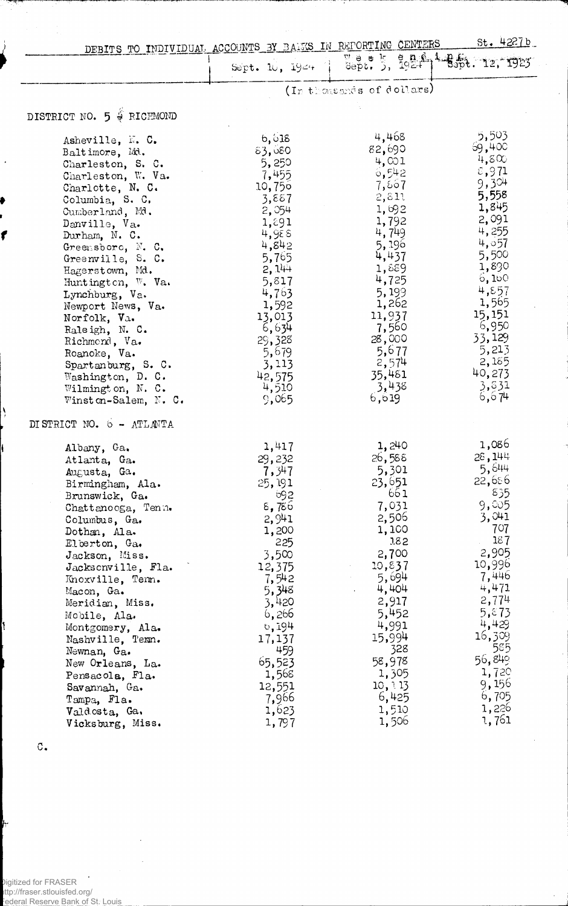|                                | DEBITS TO INDIVIDUAL ACCOUNTS BY BALKS IN REPORTING CENTERS |                           | st. 4227b                      |
|--------------------------------|-------------------------------------------------------------|---------------------------|--------------------------------|
|                                | Sept. $10, 194 + 1$                                         |                           | Week, 3, 1924 1 8spt. 12, 1923 |
|                                |                                                             | (In thousands of dollars) |                                |
| DISTRICT NO. 5 & RICHMOND      |                                                             |                           |                                |
| Asheville, N. C.               | 6,618                                                       | 4,468                     | 5,503                          |
| Baltimore, Md.                 | 83,680                                                      | 82,690                    | 69,400<br>4,800                |
| Charleston, S. C.              | 5,250                                                       | 4,001                     | 5,971                          |
| Charleston, W. Va.             | 7,455                                                       | 6,542                     | 9,304                          |
| Charlotte, N. C.               | 10,750                                                      | 7,867<br>2,811            | 5,558                          |
| Columbia, S. C.                | 3,887                                                       | 1,692                     | 1,845                          |
| Cumberland, Md.                | 2,054                                                       | 1,792                     | 2,091                          |
| Danville, Va.<br>Durham, N. C. | 1,891<br>4,988                                              | 4,749                     | 4,255                          |
| Greensboro, N. C.              | 4,842                                                       | 5,196                     | 4,057                          |
| Greenville, S. C.              | 5,765                                                       | 4,437                     | 5,500                          |
| Hagerstown, Md.                | 2,144                                                       | 1,889                     | 1,890                          |
| Huntington, W. Va.             | 5,817                                                       | 4,725                     | 0,100                          |
| Lynchburg, Va.                 | 4,763                                                       | 5,199                     | 4,857                          |
| Newport News, Va.              | 1,592                                                       | 1,262                     | 1,565                          |
| Norfolk, Va.                   | 13,013                                                      | 11,937                    | 15,151                         |
| Raleigh, N. C.                 | 6,634                                                       | 7,560                     | 6,950                          |
| Richmond, Va.                  | 29,328                                                      | 28,000                    | 33,129                         |
| Roanoke, Va.                   | 5,679                                                       | 5,677                     | 5,213                          |
| Spartanburg, S. C.             | 3,113                                                       | 2,574                     | 2,185                          |
| Washington, D. C.              | 42,575                                                      | 35,481                    | 40,273                         |
| Wilmington, N. C.              | 4,510                                                       | 3,438<br>6,619            | 3,831<br>6, 674                |
| Winston-Salem, N. C.           | 9,065                                                       |                           |                                |
| DISTRICT NO. 6 - ATLANTA       |                                                             |                           |                                |
| Albany, Ga.                    | 1,417                                                       | 1,240                     | 1,086                          |
| Atlanta, Ga.                   | 29,232                                                      | 26,588                    | 28,144                         |
| Augusta, Ga.                   | 7,347                                                       | 5,301                     | 5,644                          |
| Birmingham, Ala.               | 25,191                                                      | 23,651                    | 22,686<br>835                  |
| Brunswick, Ga.                 | 692                                                         | 661<br>7,031              | 9,005                          |
| Chattanooga, Tenn.             | $\epsilon$ , 786<br>2,941                                   | 2,506                     | 3,041                          |
| Columbus, Ga.                  | 1,200                                                       | 1,100                     | 707                            |
| Dothan, Ala.<br>Elberton, Ga.  | 225                                                         | 182                       | 187                            |
| Jackson, Miss.                 | 3,500                                                       | 2,700                     | 2,905                          |
| Jacksonville, Fla.             | 12,375                                                      | 10,837                    | 10,996                         |
| Knoxville, Tem.                | 7,542                                                       | 5,694                     | 7,446                          |
| Macon, Ga.                     | 5,348                                                       | 4,404                     | 4,471                          |
| Meridian, Miss.                | 3,420                                                       | 2,917                     | 2,774                          |
| Mobile, Ala.                   | 6,266                                                       | 5,452                     | 5,873                          |
| Montgomery, Ala.               | 0,194                                                       | 4,991                     | 4,429                          |
| Nashville, Texn.               | 17,137                                                      | 15,994                    | 16,309                         |
| Newnan, Ga.                    | 459                                                         | 328                       | 585                            |
| New Orleans, La.               | 65,523                                                      | 58,978                    | 56,849                         |
| Pensacola, Fla.                | 1,568                                                       | 1,305                     | 1,720                          |
| Savannah, Ga.                  | 12,551                                                      | 10, 113                   | 9,156                          |
| Tampa, Fla.                    | 7,966                                                       | 6,425                     | 6,705                          |
| Valdosta, Ga.                  | 1,623                                                       | 1,510                     | 1,226                          |
| Vicksburg, Miss.               | 1,797                                                       | 1,506                     | 1,761                          |

 $\mathtt{C}_\bullet$ 

*ft*

١

ſ

١

 $\cdot$ Digitized for FRASER http://fraser.stlouisfed.org/ **Federal Reserve Bank of St. Louis**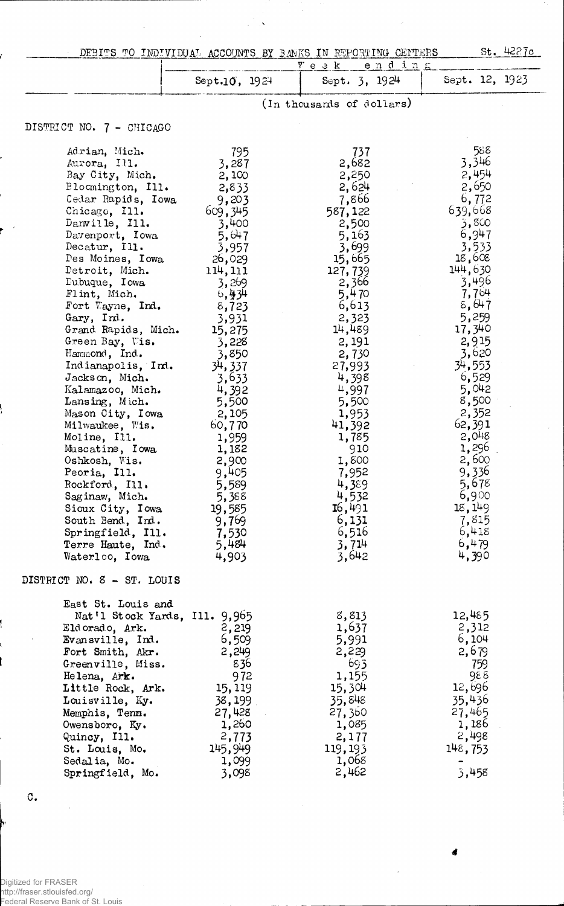|                                  |                 | DEBITS TO INDIVIDUAL ACCOUNTS BY BANKS IN REPORTING CENTERS | St. 4227c          |
|----------------------------------|-----------------|-------------------------------------------------------------|--------------------|
|                                  |                 | V e e k<br>$e$ $n$ $d$ $i$ $n$ $s$                          |                    |
|                                  | Sept.10, 1924   | Sept. 3, 1924                                               | Sept. 12, 1923     |
|                                  |                 | (In thousands of dollars)                                   |                    |
| DISTRICT NO. 7 - CHICAGO         |                 |                                                             |                    |
|                                  |                 |                                                             |                    |
| Adrian, Mich.                    | 795             | 737                                                         | 588                |
| Aurora, Ill.                     | 3,287           | 2,682                                                       | 3,346              |
| Bay City, Mich.                  | 2,100           | 2,250                                                       | 2,454              |
| Blocmington, Ill.                | 2,833           | 2,624                                                       | 2,650              |
| Cedar Rapids, Iowa               | 9,203           | 7,866                                                       | 6,772              |
| Chicago, Ill.                    | 609,345         | 587,122                                                     | 639,668            |
| Danville, Ill.                   | 3,400           | 2,500                                                       | 3,800<br>6,947     |
| Davenport, Iowa<br>Decatur, Ill. | 5,647           | 5,163                                                       | 3,533              |
| Des Moines, Iowa                 | 3,957<br>26,029 | 3,699<br>15,665                                             | 18,608             |
| Detroit, Mich.                   | 114, 111        | 127,739                                                     | 144,630            |
| Dubuque, Iowa                    | 3,269           | 2,366                                                       | 3,496              |
| Flint, Mich.                     | 6,934           | 5,470                                                       | 7,764              |
| Fort Wayne, Ind.                 | 8,723           | 6,613                                                       | 8,647              |
| Gary, Ind.                       | 3,931           | 2,323                                                       | 5,259              |
| Grand Rapids, Mich.              | 15,275          | 14,489                                                      | 17,340             |
| Green Bay, Vis.                  | 3,228           | 2, 191                                                      | 2,915              |
| Hammond, Ind.                    | 3,850           | 2,730                                                       | 3,620              |
| Indianapolis, Ind.               | 34, 337         | 27,993                                                      | 34,553             |
| Jackson, Mich.                   | 3,633           | 4,398                                                       | 6,529              |
| Kalamazoo, Mich.                 | 4,392           | 4,997                                                       | 5,042              |
| Lansing, Mich.                   | 5,500           | 5,500                                                       | 8,500              |
| Mason City, Iowa                 | 2,105           | 1,953                                                       | 2,352              |
| Milwaukee, Wis.                  | 60,770          | 41,392                                                      | 62,391             |
| Moline, Ill.                     | 1,959           | 1,785                                                       | 2,048              |
| Muscatine, Iowa                  | 1,182           | 910                                                         | 1,296              |
| Oshkosh, Vis.                    | 2,900           | 1,800                                                       | 2,600              |
| Peoria, Ill.                     | 9,405           | 7,952                                                       | 9,336              |
| Rockford, Ill.                   | 5,589           | 4,389                                                       | $5,678$<br>$6,900$ |
| Saginaw, Mich.                   | 5,388           | 4,532                                                       |                    |
| Sioux City, Iowa                 | 19,585          | 16,491                                                      | 18,149             |
| South Bend, Ind.                 | 9,769           | 6,131                                                       | 7,815              |
| Springfield, Ill.                | 7,530           | 6,516                                                       | 6,418              |
| Terre Haute, Ind.                | 5,484           | 3,714                                                       | 6,479              |
| Waterloo, Iowa                   | 4,903           | 3,642                                                       | 4,390              |
| DISTRICT NO. 8 - ST. LOUIS       |                 |                                                             |                    |
| East St. Louis and               |                 |                                                             |                    |
| Nat'l Stock Yards, Ill. 9,965    |                 | 8,813                                                       | 12,485             |
| Eldorado, Ark.                   | 2,219           | 1,637                                                       | 2,312              |
| Evan sville, Ind.                | 6,509           | 5,991                                                       | 6,104              |
| Fort Smith, Akr.                 | 2,249           | 2,229                                                       | 2,679              |
| Greenville, Miss.                | 836             | 693                                                         | 759                |
| Helena, Ark.                     | 972             | 1,155                                                       | 988                |
| Little Rock, Ark.                | 15, 119         | 15,304                                                      | 12,696             |
| Louisville, Ky.                  | 38,199          | 35,848                                                      | 35,436             |
| Memphis, Tenn.                   | 27,428          | 27,360                                                      | 27,465             |
| Owensboro, Ky.                   | 1,260           | 1,085                                                       | 1,186              |
| Quincy, Ill.                     | 2,773           | 2,177                                                       | 2,498              |
| St. Louis, Mo.                   | 145,949         | 119, 193                                                    | 148,753            |
| Sedalia, Mo.                     | 1,099           | 1,068                                                       |                    |
| Springfield, Mo.                 | 3,098           | 2,462                                                       | 3,458              |

Digitized for FRASER http://fraser.stlouisfed.org/ Federal Reserve Bank of St. Louis

 $\sigma_{\bullet}$ 

*4*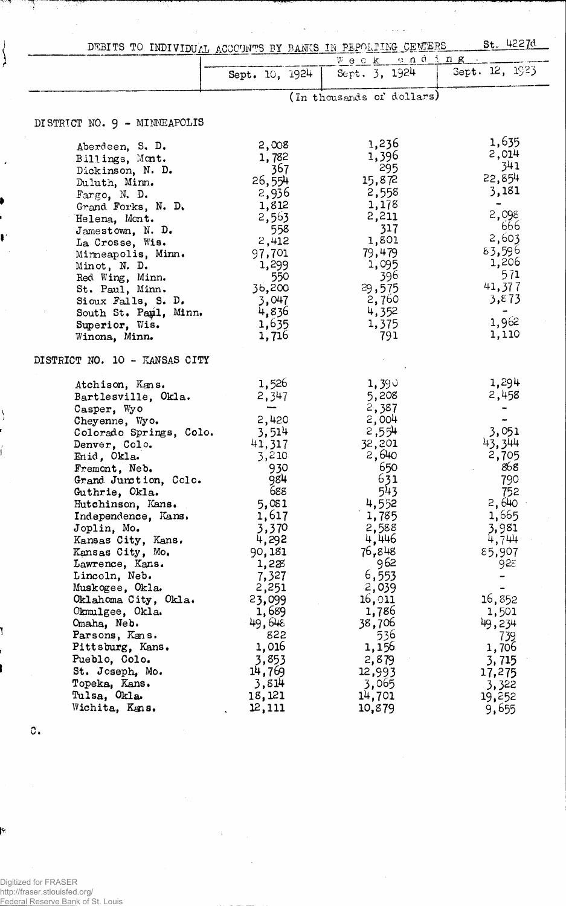| DEBITS TO INDIVIDUAL ACCOUNTS BY BANKS IN PEPOLITING CENTERS |                 |                           | St. 4227d      |
|--------------------------------------------------------------|-----------------|---------------------------|----------------|
|                                                              |                 | Week anding               |                |
|                                                              | Sept. 10, 1924  | Sept. 3, 1924             | Gept. 12, 1923 |
|                                                              |                 | (In thousands of dollars) |                |
|                                                              |                 |                           |                |
| DISTRICT NO. 9 - MINNEAPOLIS                                 |                 |                           |                |
| Aberdeen, S. D.                                              | 2,008           | 1,236                     | 1,635          |
| Billings, Mont.                                              | 1,782           | 1,396                     | 2,014<br>341   |
| Dickinson, N. D.                                             | 367             | - 295                     | 22,854         |
| Duluth, Minn.                                                | 26,554          | 15,872                    | 3,181          |
| Fargo, N. D.                                                 | 2,936           | 2,558                     |                |
| Grand Forks, N. D.                                           | 1,812           | 1,178                     | 2,098          |
| Helena, Mont.                                                | 2,563           | 2,211<br>317              | 666            |
| $J$ amestown, N. D.                                          | 558             | 1,801                     | 2,603          |
| La Crosse, Wis.                                              | 2,412<br>97,701 | 79,479                    | 83,596         |
| Minneapolis, Minn.                                           | 1,299           | 1,095                     | 1,206          |
| Minot, N. D.<br>Red Wing, Minn.                              | 550             | 396                       | 571            |
| St. Paul, Minn.                                              | 36,200          | 29,575                    | 41,377         |
| Sioux Falls, S. D.                                           | 3,047           | 2,760                     | 3,873          |
| South St. Pay1, Minn.                                        | 4,836           | 4,352                     | $\rightarrow$  |
| Superior, Wis.                                               | 1,635           | 1,375                     | 1,962          |
| Winona, Minn.                                                | 1,716           | - 791                     | 1,110          |
| DISTRICT NO. 10 - KANSAS CITY                                |                 |                           |                |
| Atchison, Kans.                                              | 1,526           | 1,390                     | 1,294          |
| Bartlesville, Okla.                                          | 2,347           | 5,208                     | 2,458          |
| Casper, Wyo                                                  |                 | 2,387                     |                |
| Cheyenne, Wyo.                                               | 2,420           | 2,004                     |                |
| Colorado Springs, Colo.                                      | 3,514           | 2,554                     | 3,051          |
| Denver, Colo.                                                | 41,317          | 32,201                    | 43,344         |
| Enid, Okla.                                                  | 3,210           | 2,640                     | 2,705          |
| Fremont, Neb.                                                | 930             | 650                       | 868            |
| Grand Junction, Colo.                                        | 984<br>688      | 631<br>543                | 790            |
| Guthrie, Okla.                                               | 5,081           | 4,552                     | 752<br>2,640   |
| Hutchinson, Kans.<br>Independence, Kans.                     | 1,617           | 1,785                     | 1,665          |
| Joplin, Mo.                                                  | 3,370           | 2,588                     | 3,981          |
| Kansas City, Kans.                                           | 4,292           | 4,446                     | 4,744          |
| Kansas City, Mo.                                             | 90,181          | 76,848                    | 85,907         |
| Lawrence, Kans.                                              | 1,228           | 962                       | 928            |
| Lincoln, Neb.                                                | 7,327           | 6,553                     |                |
| Muskogee, Okla.                                              | 2,251           | 2,039                     |                |
| Oklahoma City, Okla.                                         | 23,099          | 16,011                    | 16,852         |
| Okmulgee, Okla.                                              | 1,689           | 1,786                     | 1,501          |
| Omaha, Neb.                                                  | 49,648          | 38,706                    | 49,234         |
| Parsons, Kans.                                               | 822             | 536                       | 739            |
| Pittsburg, Kans.                                             | 1,016           | 1,156                     | 1,706          |
| Pueblo, Colo.                                                | 3,853           | 2,879                     | 3,715          |
| St. Joseph, Mo.                                              | 14,769          | 12,993                    | 17,275         |
| Topeka, Kans.                                                | 3,814           | 3,065                     | 3,322          |
| Tulsa, Okla.                                                 | 18,121          | 14,701                    | 19,252         |
| Wichita, Kans.                                               | 12,111          | 10,879                    | 9,655          |

 $\hat{\mathbf{v}}$ 

 $\ddot{\phantom{0}}$ 

 $\bar{z}$ 

 $\bar{\psi}$ 

 $\circ$ .

 $\hat{\boldsymbol{\epsilon}}$ 

ী

 $\begin{array}{c} \begin{array}{c} \end{array} \\ \begin{array}{c} \end{array} \end{array}$ 

 $\overline{\phantom{a}}$ 

ť

Digitized for FRASER http://fraser.stlouisfed.org/ Federal Reserve Bank of St. Louis